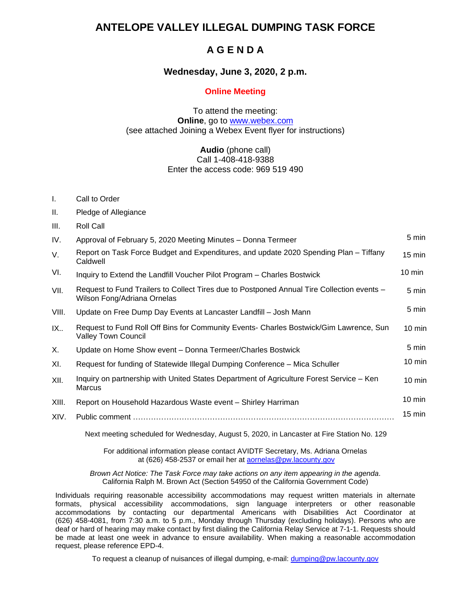### **ANTELOPE VALLEY ILLEGAL DUMPING TASK FORCE**

## **A G E N D A**

#### **Wednesday, June 3, 2020, 2 p.m.**

#### **Online Meeting**

#### To attend the meeting: **Online**, go to [www.webex.com](http://www.webex.com/) (see attached Joining a Webex Event flyer for instructions)

#### **Audio** (phone call) Call 1-408-418-9388 Enter the access code: 969 519 490

- I. Call to Order
- II. Pledge of Allegiance
- III. Roll Call IV. Approval of February 5, 2020 Meeting Minutes – Donna Termeer 5 min  $V<sub>1</sub>$  Report on Task Force Budget and Expenditures, and update 2020 Spending Plan – Tiffany Caldwell 15 min VI. Inquiry to Extend the Landfill Voucher Pilot Program – Charles Bostwick 10 min VII. Request to Fund Trailers to Collect Tires due to Postponed Annual Tire Collection events – Wilson Fong/Adriana Ornelas 5 min VIII. Update on Free Dump Day Events at Lancaster Landfill - Josh Mann 5 min IX.. Request to Fund Roll Off Bins for Community Events- Charles Bostwick/Gim Lawrence, Sun Valley Town Council 10 min X. Update on Home Show event – Donna Termeer/Charles Bostwick 5 min XI. Request for funding of Statewide Illegal Dumping Conference – Mica Schuller 10 min XII. Inquiry on partnership with United States Department of Agriculture Forest Service – Ken Marcus 10 min XIII. Report on Household Hazardous Waste event – Shirley Harriman 10 min XIV. Public comment ………………………………………………………………………………………… 15 min

Next meeting scheduled for Wednesday, August 5, 2020, in Lancaster at Fire Station No. 129

For additional information please contact AVIDTF Secretary, Ms. Adriana Ornelas at (626) 458-2537 or email her at **aornelas@pw.lacounty.gov** 

*Brown Act Notice: The Task Force may take actions on any item appearing in the agenda*. California Ralph M. Brown Act (Section 54950 of the California Government Code)

Individuals requiring reasonable accessibility accommodations may request written materials in alternate formats, physical accessibility accommodations, sign language interpreters or other reasonable accommodations by contacting our departmental Americans with Disabilities Act Coordinator at (626) 458-4081, from 7:30 a.m. to 5 p.m., Monday through Thursday (excluding holidays). Persons who are deaf or hard of hearing may make contact by first dialing the California Relay Service at 7-1-1. Requests should be made at least one week in advance to ensure availability. When making a reasonable accommodation request, please reference EPD-4.

To request a cleanup of nuisances of illegal dumping, e-mail: [dumping@pw.lacounty.gov](mailto:dumping@pw.lacounty.gov)